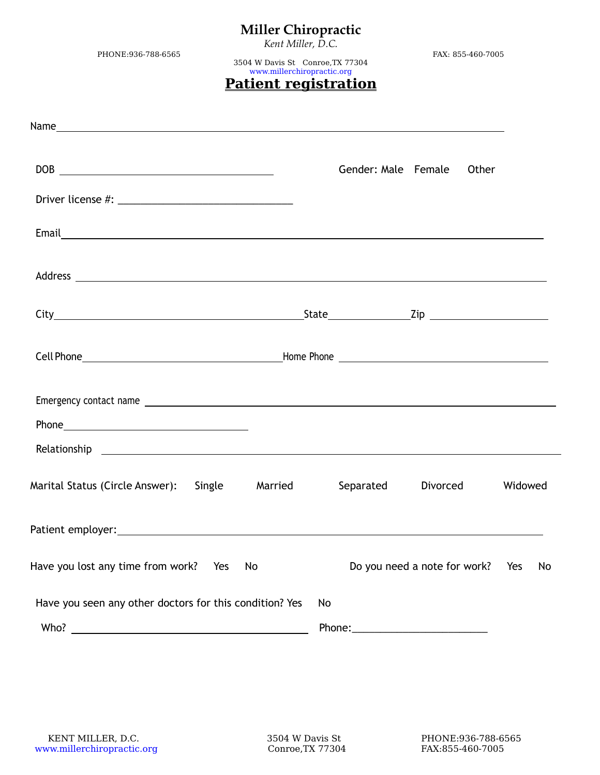*Kent Miller, D.C.*

PHONE:936-788-6565 FAX: 855-460-7005

3504 W Davis St Conroe,TX 77304 [www.millerchiropractic.org](http://www.millerchiropractic.org/)

### **Patient registration**

| $DOB \begin{tabular}{c} \hline \multicolumn{3}{c}{} \multicolumn{3}{c}{} \multicolumn{3}{c}{} \multicolumn{3}{c}{} \multicolumn{3}{c}{} \multicolumn{3}{c}{} \multicolumn{3}{c}{} \multicolumn{3}{c}{} \multicolumn{3}{c}{} \multicolumn{3}{c}{} \multicolumn{3}{c}{} \multicolumn{3}{c}{} \multicolumn{3}{c}{} \multicolumn{3}{c}{} \multicolumn{3}{c}{} \multicolumn{3}{c}{} \multicolumn{3}{c}{} \multicolumn{3}{c}{} \multicolumn{3}{c}{} \multicolumn{3}{c}{} \multicolumn{3}{$ |    | Gender: Male Female | Other                            |         |
|--------------------------------------------------------------------------------------------------------------------------------------------------------------------------------------------------------------------------------------------------------------------------------------------------------------------------------------------------------------------------------------------------------------------------------------------------------------------------------------|----|---------------------|----------------------------------|---------|
|                                                                                                                                                                                                                                                                                                                                                                                                                                                                                      |    |                     |                                  |         |
|                                                                                                                                                                                                                                                                                                                                                                                                                                                                                      |    |                     |                                  |         |
|                                                                                                                                                                                                                                                                                                                                                                                                                                                                                      |    |                     |                                  |         |
|                                                                                                                                                                                                                                                                                                                                                                                                                                                                                      |    |                     |                                  |         |
|                                                                                                                                                                                                                                                                                                                                                                                                                                                                                      |    |                     |                                  |         |
|                                                                                                                                                                                                                                                                                                                                                                                                                                                                                      |    |                     |                                  |         |
|                                                                                                                                                                                                                                                                                                                                                                                                                                                                                      |    |                     |                                  |         |
|                                                                                                                                                                                                                                                                                                                                                                                                                                                                                      |    |                     |                                  |         |
| Marital Status (Circle Answer): Single Married Separated                                                                                                                                                                                                                                                                                                                                                                                                                             |    |                     | Divorced                         | Widowed |
|                                                                                                                                                                                                                                                                                                                                                                                                                                                                                      |    |                     |                                  |         |
| Have you lost any time from work?<br>Yes                                                                                                                                                                                                                                                                                                                                                                                                                                             | No |                     | Do you need a note for work? Yes | No      |
| Have you seen any other doctors for this condition? Yes                                                                                                                                                                                                                                                                                                                                                                                                                              | No |                     |                                  |         |
| Who? $\overline{\phantom{a}}$                                                                                                                                                                                                                                                                                                                                                                                                                                                        |    | Phone:              |                                  |         |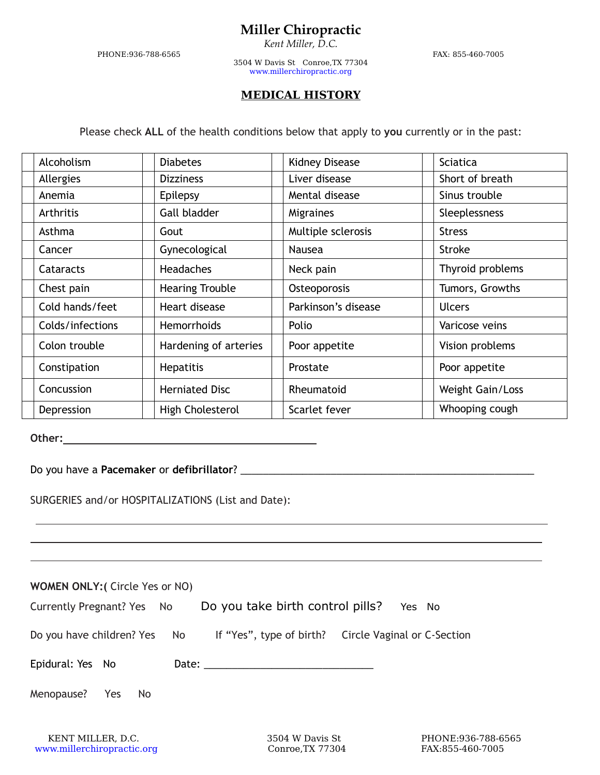*Kent Miller, D.C.*

PHONE:936-788-6565 FAX: 855-460-7005

3504 W Davis St Conroe,TX 77304 [www.millerchiropractic.org](http://www.millerchiropractic.org/)

#### **MEDICAL HISTORY**

Please check **ALL** of the health conditions below that apply to **you** currently or in the past:

| Alcoholism       | <b>Diabetes</b>        | <b>Kidney Disease</b> | <b>Sciatica</b>  |
|------------------|------------------------|-----------------------|------------------|
| Allergies        | <b>Dizziness</b>       | Liver disease         | Short of breath  |
| Anemia           | Epilepsy               | Mental disease        | Sinus trouble    |
| Arthritis        | Gall bladder           | Migraines             | Sleeplessness    |
| Asthma           | Gout                   | Multiple sclerosis    | <b>Stress</b>    |
| Cancer           | Gynecological          | Nausea                | <b>Stroke</b>    |
| Cataracts        | <b>Headaches</b>       | Neck pain             | Thyroid problems |
| Chest pain       | <b>Hearing Trouble</b> | Osteoporosis          | Tumors, Growths  |
| Cold hands/feet  | Heart disease          | Parkinson's disease   | <b>Ulcers</b>    |
| Colds/infections | Hemorrhoids            | Polio                 | Varicose veins   |
| Colon trouble    | Hardening of arteries  | Poor appetite         | Vision problems  |
| Constipation     | <b>Hepatitis</b>       | Prostate              | Poor appetite    |
| Concussion       | <b>Herniated Disc</b>  | Rheumatoid            | Weight Gain/Loss |
| Depression       | High Cholesterol       | Scarlet fever         | Whooping cough   |

**Other:**

Do you have a **Pacemaker** or **defibrillator**? \_\_\_\_\_\_\_\_\_\_\_\_\_\_\_\_\_\_\_\_\_\_\_\_\_\_\_\_\_\_\_\_\_\_\_\_\_\_\_\_\_\_\_\_\_\_\_\_\_\_\_\_

SURGERIES and/or HOSPITALIZATIONS (List and Date):

| <b>WOMEN ONLY: (Circle Yes or NO)</b> |                                                                                                                                                                                                                               |
|---------------------------------------|-------------------------------------------------------------------------------------------------------------------------------------------------------------------------------------------------------------------------------|
| Currently Pregnant? Yes No            | Do you take birth control pills?<br>Yes No                                                                                                                                                                                    |
| Do you have children? Yes No          | If "Yes", type of birth? Circle Vaginal or C-Section                                                                                                                                                                          |
| Epidural: Yes No                      | Date: Date: Date: Date: Date: Date: Date: Date: Date: Date: Date: Date: Date: Date: Date: Date: Date: Date: Date: Date: Date: Date: Date: Date: Date: Date: Date: Date: Date: Date: Date: Date: Date: Date: Date: Date: Date: |
| Menopause?<br>Yes<br>No.              |                                                                                                                                                                                                                               |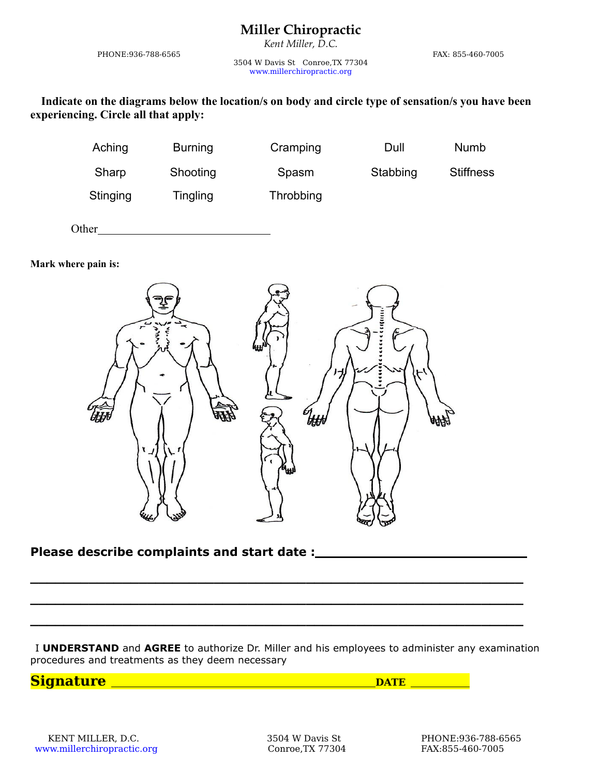*Kent Miller, D.C.*

PHONE:936-788-6565 FAX: 855-460-7005

3504 W Davis St Conroe,TX 77304 [www.millerchiropractic.org](http://www.millerchiropractic.org/)

**Indicate on the diagrams below the location/s on body and circle type of sensation/s you have been experiencing. Circle all that apply:**

| Aching   | <b>Burning</b> | Cramping  | Dull     | <b>Numb</b>      |  |
|----------|----------------|-----------|----------|------------------|--|
| Sharp    | Shooting       | Spasm     | Stabbing | <b>Stiffness</b> |  |
| Stinging | Tingling       | Throbbing |          |                  |  |

Other

**Mark where pain is:**



#### **Please describe complaints and start date :**

I **UNDERSTAND** and **AGREE** to authorize Dr. Miller and his employees to administer any examination procedures and treatments as they deem necessary

**Signature** DATE DATE

**\_\_\_\_\_\_\_\_\_\_\_\_\_\_\_\_\_\_\_\_\_\_\_\_\_\_\_\_\_\_\_\_\_\_\_\_\_\_\_\_\_\_\_\_\_\_\_\_\_\_\_\_\_\_\_\_\_\_\_**

**\_\_\_\_\_\_\_\_\_\_\_\_\_\_\_\_\_\_\_\_\_\_\_\_\_\_\_\_\_\_\_\_\_\_\_\_\_\_\_\_\_\_\_\_\_\_\_\_\_\_\_\_\_\_\_\_\_\_\_**

**\_\_\_\_\_\_\_\_\_\_\_\_\_\_\_\_\_\_\_\_\_\_\_\_\_\_\_\_\_\_\_\_\_\_\_\_\_\_\_\_\_\_\_\_\_\_\_\_\_\_\_\_\_\_\_\_\_\_\_**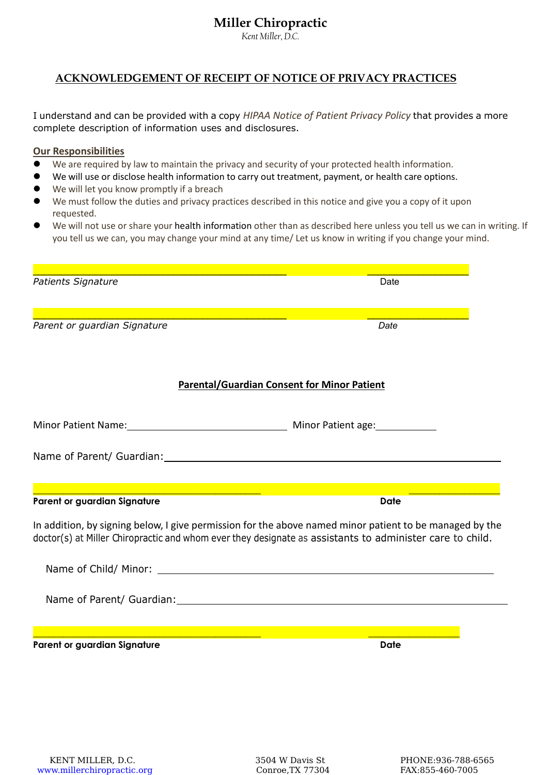*Kent Miller, D.C.*

#### **ACKNOWLEDGEMENT OF RECEIPT OF NOTICE OF PRIVACY PRACTICES**

I understand and can be provided with a copy *HIPAA Notice of Patient Privacy Policy* that provides a more complete description of information uses and disclosures.

#### **Our Responsibilities**

- We are required by law to maintain the privacy and security of your protected health information.
- We will use or disclose health information to carry out treatment, payment, or health care options.
- We will let you know promptly if a breach
- We must follow the duties and privacy practices described in this notice and give you a copy of it upon requested.
- We will not use or share your health information other than as described here unless you tell us we can in writing. If you tell us we can, you may change your mind at any time/ Let us know in writing if you change your mind.

| Patients Signature                                                                                                                                              | Date                                                                                                                                                                                                                |
|-----------------------------------------------------------------------------------------------------------------------------------------------------------------|---------------------------------------------------------------------------------------------------------------------------------------------------------------------------------------------------------------------|
| $\mathcal{L}^{\text{max}}_{\text{max}}$ and $\mathcal{L}^{\text{max}}_{\text{max}}$ and $\mathcal{L}^{\text{max}}_{\text{max}}$<br>Parent or guardian Signature | Date                                                                                                                                                                                                                |
|                                                                                                                                                                 |                                                                                                                                                                                                                     |
|                                                                                                                                                                 | <b>Parental/Guardian Consent for Minor Patient</b>                                                                                                                                                                  |
| Minor Patient Name: Minor Patient age:                                                                                                                          |                                                                                                                                                                                                                     |
|                                                                                                                                                                 |                                                                                                                                                                                                                     |
|                                                                                                                                                                 |                                                                                                                                                                                                                     |
| Parent or guardian Signature                                                                                                                                    | <b>Date</b>                                                                                                                                                                                                         |
|                                                                                                                                                                 | In addition, by signing below, I give permission for the above named minor patient to be managed by the<br>doctor(s) at Miller Chiropractic and whom ever they designate as assistants to administer care to child. |
|                                                                                                                                                                 |                                                                                                                                                                                                                     |
|                                                                                                                                                                 |                                                                                                                                                                                                                     |
| and the control of the control of the control of the control of the control of the control of the control of the                                                |                                                                                                                                                                                                                     |
| Parent or guardian Signature                                                                                                                                    | <b>Date</b>                                                                                                                                                                                                         |